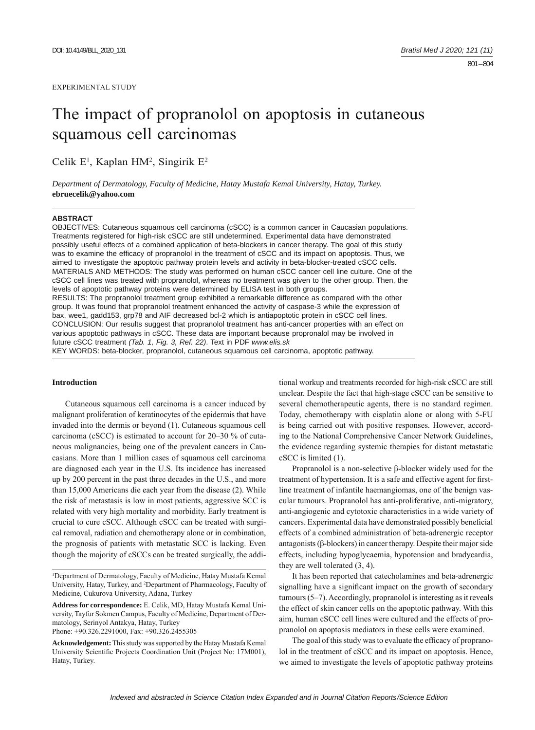# The impact of propranolol on apoptosis in cutaneous squamous cell carcinomas

Celik E<sup>1</sup>, Kaplan HM<sup>2</sup>, Singirik E<sup>2</sup>

*Department of Dermatology, Faculty of Medicine, Hatay Mustafa Kemal University, Hatay, Turkey.*  **ebruecelik@yahoo.com**

## **ABSTRACT**

OBJECTIVES: Cutaneous squamous cell carcinoma (cSCC) is a common cancer in Caucasian populations. Treatments registered for high-risk cSCC are still undetermined. Experimental data have demonstrated possibly useful effects of a combined application of beta-blockers in cancer therapy. The goal of this study was to examine the efficacy of propranolol in the treatment of cSCC and its impact on apoptosis. Thus, we aimed to investigate the apoptotic pathway protein levels and activity in beta-blocker-treated cSCC cells. MATERIALS AND METHODS: The study was performed on human cSCC cancer cell line culture. One of the cSCC cell lines was treated with propranolol, whereas no treatment was given to the other group. Then, the levels of apoptotic pathway proteins were determined by ELISA test in both groups. RESULTS: The propranolol treatment group exhibited a remarkable difference as compared with the other group. It was found that propranolol treatment enhanced the activity of caspase-3 while the expression of bax, wee1, gadd153, grp78 and AIF decreased bcl-2 which is antiapoptotic protein in cSCC cell lines. CONCLUSION: Our results suggest that propranolol treatment has anti-cancer properties with an effect on various apoptotic pathways in cSCC. These data are important because propronalol may be involved in future cSCC treatment *(Tab. 1, Fig. 3, Ref. 22)*. Text in PDF *www.elis.sk* KEY WORDS: beta-blocker, propranolol, cutaneous squamous cell carcinoma, apoptotic pathway.

# **Introduction**

Cutaneous squamous cell carcinoma is a cancer induced by malignant proliferation of keratinocytes of the epidermis that have invaded into the dermis or beyond (1). Cutaneous squamous cell carcinoma (cSCC) is estimated to account for 20–30 % of cutaneous malignancies, being one of the prevalent cancers in Caucasians. More than 1 million cases of squamous cell carcinoma are diagnosed each year in the U.S. Its incidence has increased up by 200 percent in the past three decades in the U.S., and more than 15,000 Americans die each year from the disease (2). While the risk of metastasis is low in most patients, aggressive SCC is related with very high mortality and morbidity. Early treatment is crucial to cure cSCC. Although cSCC can be treated with surgical removal, radiation and chemotherapy alone or in combination, the prognosis of patients with metastatic SCC is lacking. Even though the majority of cSCCs can be treated surgically, the addi-

<sup>1</sup>Department of Dermatology, Faculty of Medicine, Hatay Mustafa Kemal University, Hatay, Turkey, and 2 Department of Pharmacology, Faculty of Medicine, Cukurova University, Adana, Turkey

**Address for correspondence:** E. Celik, MD, Hatay Mustafa Kemal University, Tayfur Sokmen Campus, Faculty of Medicine, Department of Dermatology, Serinyol Antakya, Hatay, Turkey

Phone: +90.326.2291000, Fax: +90.326.2455305

**Acknowledgement:** This study was supported by the Hatay Mustafa Kemal University Scientific Projects Coordination Unit (Project No: 17M001), Hatay, Turkey.

tional workup and treatments recorded for high-risk cSCC are still unclear. Despite the fact that high-stage cSCC can be sensitive to several chemotherapeutic agents, there is no standard regimen. Today, chemotherapy with cisplatin alone or along with 5-FU is being carried out with positive responses. However, according to the National Comprehensive Cancer Network Guidelines, the evidence regarding systemic therapies for distant metastatic cSCC is limited (1).

Propranolol is a non-selective β-blocker widely used for the treatment of hypertension. It is a safe and effective agent for firstline treatment of infantile haemangiomas, one of the benign vascular tumours. Propranolol has anti-proliferative, anti-migratory, anti-angiogenic and cytotoxic characteristics in a wide variety of cancers. Experimental data have demonstrated possibly beneficial effects of a combined administration of beta-adrenergic receptor antagonists (β-blockers) in cancer therapy. Despite their major side effects, including hypoglycaemia, hypotension and bradycardia, they are well tolerated (3, 4).

It has been reported that catecholamines and beta-adrenergic signalling have a significant impact on the growth of secondary tumours (5–7). Accordingly, propranolol is interesting as it reveals the effect of skin cancer cells on the apoptotic pathway. With this aim, human cSCC cell lines were cultured and the effects of propranolol on apoptosis mediators in these cells were examined.

The goal of this study was to evaluate the efficacy of propranolol in the treatment of cSCC and its impact on apoptosis. Hence, we aimed to investigate the levels of apoptotic pathway proteins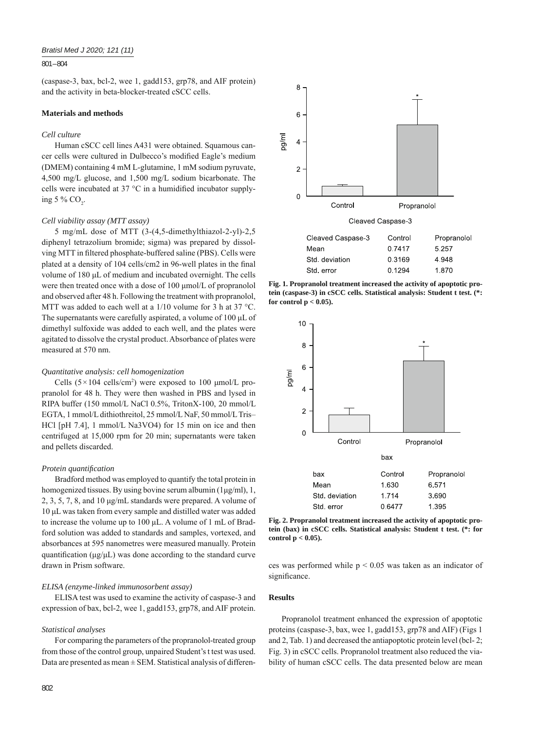## 801 – 804

(caspase-3, bax, bcl-2, wee 1, gadd153, grp78, and AIF protein) and the activity in beta-blocker-treated cSCC cells.

# **Materials and methods**

## *Cell culture*

Human cSCC cell lines A431 were obtained. Squamous cancer cells were cultured in Dulbecco's modified Eagle's medium (DMEM) containing 4 mM L-glutamine, 1 mM sodium pyruvate, 4,500 mg/L glucose, and 1,500 mg/L sodium bicarbonate. The cells were incubated at  $37^{\circ}$ C in a humidified incubator supplying 5 %  $CO_2$ .

## *Cell viability assay (MTT assay)*

5 mg/mL dose of MTT (3-(4,5-dimethylthiazol-2-yl)-2,5 diphenyl tetrazolium bromide; sigma) was prepared by dissolving MTT in filtered phosphate-buffered saline (PBS). Cells were plated at a density of 104 cells/cm2 in 96-well plates in the final volume of 180 μL of medium and incubated overnight. The cells were then treated once with a dose of 100 μmol/L of propranolol and observed after 48 h. Following the treatment with propranolol, MTT was added to each well at a 1/10 volume for 3 h at 37 °C. The supernatants were carefully aspirated, a volume of 100 μL of dimethyl sulfoxide was added to each well, and the plates were agitated to dissolve the crystal product. Absorbance of plates were measured at 570 nm.

## *Quantitative analysis: cell homogenization*

Cells  $(5 \times 104 \text{ cells/cm}^2)$  were exposed to 100 µmol/L propranolol for 48 h. They were then washed in PBS and lysed in RIPA buffer (150 mmol/L NaCl 0.5%, TritonX-100, 20 mmol/L EGTA, 1 mmol/L dithiothreitol, 25 mmol/L NaF, 50 mmol/L Tris– HCl [pH 7.4], 1 mmol/L Na3VO4) for 15 min on ice and then centrifuged at 15,000 rpm for 20 min; supernatants were taken and pellets discarded.

#### *Protein quantifi cation*

Bradford method was employed to quantify the total protein in homogenized tissues. By using bovine serum albumin (1μg/ml), 1, 2, 3, 5, 7, 8, and 10 μg/mL standards were prepared. A volume of 10 μL was taken from every sample and distilled water was added to increase the volume up to 100 μL. A volume of 1 mL of Bradford solution was added to standards and samples, vortexed, and absorbances at 595 nanometres were measured manually. Protein quantification ( $\mu$ g/ $\mu$ L) was done according to the standard curve drawn in Prism software.

## *ELISA (enzyme-linked immunosorbent assay)*

ELISA test was used to examine the activity of caspase-3 and expression of bax, bcl-2, wee 1, gadd153, grp78, and AIF protein.

# *Statistical analyses*

For comparing the parameters of the propranolol-treated group from those of the control group, unpaired Student's t test was used. Data are presented as mean  $\pm$  SEM. Statistical analysis of differen-



**Fig. 1. Propranolol treatment increased the activity of apoptotic protein (caspase-3) in cSCC cells. Statistical analysis: Student t test. (\*: for control p < 0.05).**



**Fig. 2. Propranolol treatment increased the activity of apoptotic protein (bax) in cSCC cells. Statistical analysis: Student t test. (\*: for control p < 0.05).**

ces was performed while  $p < 0.05$  was taken as an indicator of significance.

## **Results**

Propranolol treatment enhanced the expression of apoptotic proteins (caspase-3, bax, wee 1, gadd153, grp78 and AIF) (Figs 1 and 2, Tab. 1) and decreased the antiapoptotic protein level (bcl- 2; Fig. 3) in cSCC cells. Propranolol treatment also reduced the viability of human cSCC cells. The data presented below are mean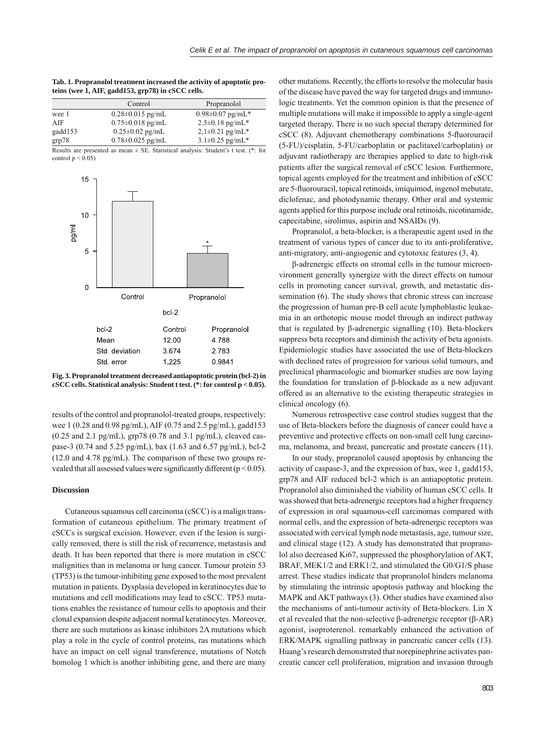| Tab. 1. Propranolol treatment increased the activity of apoptotic pro- |  |
|------------------------------------------------------------------------|--|
| teins (wee 1, AIF, gadd153, grp78) in cSCC cells.                      |  |

|                           | Control                | Propranolol                                                                                                           |
|---------------------------|------------------------|-----------------------------------------------------------------------------------------------------------------------|
| wee 1                     | $0.28 \pm 0.015$ pg/mL | $0.98 \pm 0.07$ pg/mL*                                                                                                |
| AIF                       | $0.75 \pm 0.018$ pg/mL | $2.5 \pm 0.18$ pg/mL <sup>*</sup>                                                                                     |
| gadd153                   | $0.25 \pm 0.02$ pg/mL  | $2,1\pm0.21$ pg/mL*                                                                                                   |
| grp78                     | $0.78 \pm 0.025$ pg/mL | $3.1 \pm 0.25$ pg/mL*                                                                                                 |
| $\mathbf{r}$ $\mathbf{r}$ |                        | $\mathbf{1}$ , $\mathbf{2}$ , $\mathbf{3}$ , $\mathbf{3}$ , $\mathbf{4}$ , $\mathbf{5}$ , $\mathbf{6}$ , $\mathbf{7}$ |

Results are presented as mean  $\pm$  SE. Statistical analysis: Student's t test. (\*: for control  $p < 0.05$ )



**Fig. 3. Propranolol treatment decreased antiapoptotic protein (bcl-2) in cSCC cells. Statistical analysis: Student t test. (\*: for control p < 0.05).**

results of the control and propranolol-treated groups, respectively: wee 1 (0.28 and 0.98 pg/mL), AIF (0.75 and 2.5 pg/mL), gadd153  $(0.25 \text{ and } 2.1 \text{ pg/mL})$ , grp78  $(0.78 \text{ and } 3.1 \text{ pg/mL})$ , cleaved caspase-3 (0.74 and 5.25 pg/mL), bax (1.63 and 6.57 pg/mL), bcl-2 (12.0 and 4.78 pg/mL). The comparison of these two groups revealed that all assessed values were significantly different ( $p < 0.05$ ).

## **Discussion**

Cutaneous squamous cell carcinoma (cSCC) is a malign transformation of cutaneous epithelium. The primary treatment of cSCCs is surgical excision. However, even if the lesion is surgically removed, there is still the risk of recurrence, metastasis and death. It has been reported that there is more mutation in cSCC malignities than in melanoma or lung cancer. Tumour protein 53 (TP53) is the tumour-inhibiting gene exposed to the most prevalent mutation in patients. Dysplasia developed in keratinocytes due to mutations and cell modifications may lead to cSCC. TP53 mutations enables the resistance of tumour cells to apoptosis and their clonal expansion despite adjacent normal keratinocytes. Moreover, there are such mutations as kinase inhibitors 2A mutations which play a role in the cycle of control proteins, ras mutations which have an impact on cell signal transference, mutations of Notch homolog 1 which is another inhibiting gene, and there are many

other mutations. Recently, the efforts to resolve the molecular basis of the disease have paved the way for targeted drugs and immunologic treatments. Yet the common opinion is that the presence of multiple mutations will make it impossible to apply a single-agent targeted therapy. There is no such special therapy determined for cSCC (8). Adjuvant chemotherapy combinations 5-fluorouracil (5-FU)/cisplatin, 5-FU/carboplatin or paclitaxel/carboplatin) or adjuvant radiotherapy are therapies applied to date to high-risk patients after the surgical removal of cSCC lesion. Furthermore, topical agents employed for the treatment and inhibition of cSCC are 5-fluorouracil, topical retinoids, imiquimod, ingenol mebutate, diclofenac, and photodynamic therapy. Other oral and systemic agents applied for this purpose include oral retinoids, nicotinamide, capecitabine, sirolimus, aspirin and NSAIDs (9).

Propranolol, a beta-blocker, is a therapeutic agent used in the treatment of various types of cancer due to its anti-proliferative, anti-migratory, anti-angiogenic and cytotoxic features (3, 4).

β-adrenergic effects on stromal cells in the tumour microenvironment generally synergize with the direct effects on tumour cells in promoting cancer survival, growth, and metastatic dissemination (6). The study shows that chronic stress can increase the progression of human pre-B cell acute lymphoblastic leukaemia in an orthotopic mouse model through an indirect pathway that is regulated by β-adrenergic signalling (10). Beta-blockers suppress beta receptors and diminish the activity of beta agonists. Epidemiologic studies have associated the use of Beta-blockers with declined rates of progression for various solid tumours, and preclinical pharmacologic and biomarker studies are now laying the foundation for translation of β-blockade as a new adjuvant offered as an alternative to the existing therapeutic strategies in clinical oncology (6).

Numerous retrospective case control studies suggest that the use of Beta-blockers before the diagnosis of cancer could have a preventive and protective effects on non-small cell lung carcinoma, melanoma, and breast, pancreatic and prostate cancers (11).

In our study, propranolol caused apoptosis by enhancing the activity of caspase-3, and the expression of bax, wee 1, gadd153, grp78 and AIF reduced bcl-2 which is an antiapoptotic protein. Propranolol also diminished the viability of human cSCC cells. It was showed that beta-adrenergic receptors had a higher frequency of expression in oral squamous-cell carcinomas compared with normal cells, and the expression of beta-adrenergic receptors was associated with cervical lymph node metastasis, age, tumour size, and clinical stage (12). A study has demonstrated that propranolol also decreased Ki67, suppressed the phosphorylation of AKT, BRAF, MEK1/2 and ERK1/2, and stimulated the G0/G1/S phase arrest. These studies indicate that propranolol hinders melanoma by stimulating the intrinsic apoptosis pathway and blocking the MAPK and AKT pathways (3). Other studies have examined also the mechanisms of anti-tumour activity of Beta-blockers. Lin X et al revealed that the non-selective β-adrenergic receptor (β-AR) agonist, isoproterenol. remarkably enhanced the activation of ERK/MAPK signalling pathway in pancreatic cancer cells (13). Huang's research demonstrated that norepinephrine activates pancreatic cancer cell proliferation, migration and invasion through